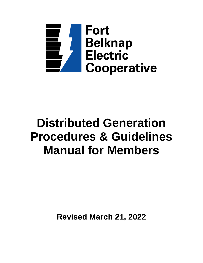

# **Distributed Generation Procedures & Guidelines Manual for Members**

**Revised March 21, 2022**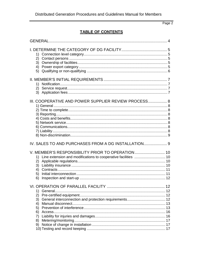## TABLE OF CONTENTS

| 1)                                                   |  |
|------------------------------------------------------|--|
| III. COOPERATIVE AND POWER SUPPLIER REVIEW PROCESS 8 |  |
| IV. SALES TO AND PURCHASES FROM A DG INSTALLATION 9  |  |
| 2)<br>3)<br>5)<br>6)                                 |  |
| 1)<br>2)<br>3)<br>4)<br>5)<br>6)<br>7)<br>8)<br>9)   |  |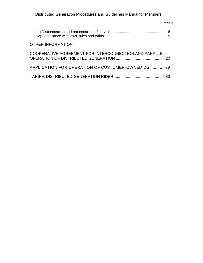| Page 3                                                 |  |
|--------------------------------------------------------|--|
|                                                        |  |
| <b>OTHER INFORMATION</b>                               |  |
| COOPERATIVE AGREEMENT FOR INTERCONNECTION AND PARALLEL |  |
| APPLICATION FOR OPERATION OF CUSTOMER-OWNED DG  29     |  |
|                                                        |  |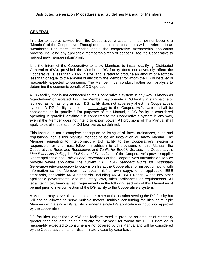## **GENERAL**

In order to receive service from the Cooperative, a customer must join or become a "Member" of the Cooperative. Throughout this manual, customers will be referred to as "Members." For more information about the cooperative membership application process, including any applicable membership fees or deposits, see the Cooperative to request new member information.

It is the intent of the Cooperative to allow Members to install qualifying Distributed Generation (DG), provided the Member's DG facility does not adversely affect the Cooperative, is less than 2 MW in size, and is rated to produce an amount of electricity less than or equal to the amount of electricity the Member for whom the DG is installed is reasonably expected to consume. The Member must conduct his/her own analysis to determine the economic benefit of DG operation.

A DG facility that is not connected to the Cooperative's system in any way is known as "stand-alone" or "isolated" DG. The Member may operate a DG facility in stand-alone or isolated fashion as long as such DG facility does not adversely affect the Cooperative's system. A DG facility connected in any way to the Cooperative's system shall be considered as in "parallel." For purposes of this Manual, a DG facility is considered operating in "parallel" anytime it is connected to the Cooperative's system in any way, even if the Member does not intend to export power. All provisions of this Manual shall apply to parallel operation of DG facilities as so defined.

This Manual is not a complete description or listing of all laws, ordinances, rules and regulations, nor is this Manual intended to be an installation or safety manual. The Member requesting to interconnect a DG facility to the Cooperative's system is responsible for and must follow, in addition to all provisions of this Manual, the Cooperative's *Rules and Regulations* and *Tariffs for Electric Service*, the Cooperative's *Line Extension Policy*, the *Policies and Procedures* of the Cooperative's power supplier where applicable, the *Policies and Procedures* of the Cooperative's transmission service provider where applicable, the current *IEEE 1547 Standard Guide for Distributed Generation Interconnection* (a copy is on file at the Cooperative for inspection along with information so the Member may obtain his/her own copy), other applicable IEEE standards, applicable ANSI standards, including ANSI C84.1 Range A and any other applicable governmental and regulatory laws, rules, ordinances or requirements. All legal, technical, financial, etc. requirements in the following sections of this Manual must be met prior to interconnection of the DG facility to the Cooperative's system.

A Member may serve all load behind the meter at the location serving the DG facility but will not be allowed to serve multiple meters, multiple consuming facilities or multiple Members with a single DG facility or under a single DG application without prior approval by the cooperative.

DG facilities larger than 2 MW and facilities rated to produce an amount of electricity greater than the amount of electricity the Member for whom the DG is installed is reasonably expected to consume are not covered by this Manual and will be considered by the Cooperative on a non-discriminatory case-by-case basis.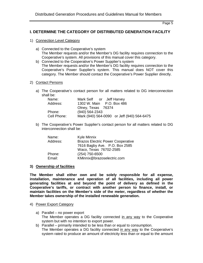## **I. DETERMINE THE CATEGORY OF DISTRIBUTED GENERATION FACILITY**

- 1) Connection Level Category
	- a) Connected to the Cooperative's system The Member requests and/or the Member's DG facility requires connection to the Cooperative's system. All provisions of this manual cover this category.
	- b) Connected to the Cooperative's Power Supplier's system The Member requests and/or the Member's DG facility requires connection to the Cooperative's Power Supplier's system. This manual does NOT cover this category. The Member should contact the Cooperative's Power Supplier directly.
- 2) Contact Persons
	- a) The Cooperative's contact person for all matters related to DG interconnection shall be:

| Name:       | Mark Self or Jeff Harvey                   |
|-------------|--------------------------------------------|
| Address:    | 1302 W. Main P.O. Box 486                  |
|             | Olney, Texas 76374                         |
| Phone:      | $(940) 564 - 2343$                         |
| Cell Phone: | Mark (940) 564-0090 or Jeff (940) 564-6475 |

b) The Cooperative's Power Supplier's contact person for all matters related to DG interconnection shall be:

| Name:    | Kyle Minnix                              |
|----------|------------------------------------------|
| Address: | <b>Brazos Electric Power Cooperative</b> |
|          | 7616 Bagby Ave. P.O. Box 2585            |
|          | Waco, Texas 76702-2585                   |
| Phone:   | (254) 750-6500                           |
| Email:   | KMinnix@brazoselectric.com               |

#### **3) Ownership of facilities**

**The Member shall either own and be solely responsible for all expense, installation, maintenance and operation of all facilities, including all power generating facilities at and beyond the point of delivery as defined in the Cooperative's tariffs, or contract with another person to finance, install, or maintain facilities on the Member's side of the meter, regardless of whether the Member takes ownership of the installed renewable generation.**

#### 4) Power Export Category

- a) Parallel no power export The Member operates a DG facility connected in any way to the Cooperative system but with no intention to export power.
- b) Parallel primarily intended to be less than or equal to consumption. The Member operates a DG facility connected in any way to the Cooperative's system rated to produce an amount of electricity less than or equal to the amount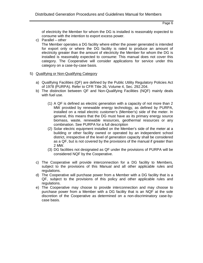of electricity the Member for whom the DG is installed is reasonably expected to consume with the intention to export excess power.

c) Parallel – other

The Member operates a DG facility where either the power generated is intended for export only or where the DG facility is rated to produce an amount of electricity greater than the amount of electricity the Member for whom the DG is installed is reasonably expected to consume: This manual does not cover this category. The Cooperative will consider applications for service under this category on a case-by-case basis.

- 5) Qualifying or Non-Qualifying Category
	- a) Qualifying Facilities (QF) are defined by the Public Utility Regulatory Policies Act of 1978 (PURPA). Refer to CFR Title 26, Volume 4, Sec. 292.204.
	- b) The distinction between QF and Non-Qualifying Facilities (NQF) mainly deals with fuel use.
		- (1) A QF is defined as electric generation with a capacity of not more than 2 MW provided by renewable energy technology, as defined by PURPA, installed on a retail electric customer's (Member's) side of the meter. In general, this means that the DG must have as its primary energy source biomass, waste, renewable resources, geothermal resources or any combination. See PURPA for a full description
		- (2) Solar electric equipment installed on the Member's side of the meter at a building or other facility owned or operated by an independent school district, irrespective of the level of generation capacity shall be considered as a QF, but is not covered by the provisions of the manual if greater than 2 MW.
		- (3) DG facilities not designated as QF under the provisions of PURPA will be considered NQF by the Cooperative.
	- c) The Cooperative will provide interconnection for a DG facility to Members, subject to the provisions of this Manual and all other applicable rules and regulations.
	- d) The Cooperative will purchase power from a Member with a DG facility that is a QF, subject to the provisions of this policy and other applicable rules and regulations.
	- e) The Cooperative may choose to provide interconnection and may choose to purchase power from a Member with a DG facility that is an NQF at the sole discretion of the Cooperative as determined on a non-discriminatory case-bycase basis.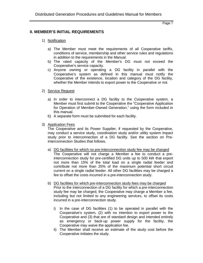## **II. MEMBER'S INITIAL REQUIREMENTS**

## 1) Notification

- a) The Member must meet the requirements of all Cooperative tariffs, conditions of service, membership and other service rules and regulations in addition to the requirements in the Manual.
- b) The rated capacity of the Member's DG must not exceed the Cooperative's service capacity.
- c) Anyone owning or operating a DG facility in parallel with the Cooperative's system as defined in this manual must notify the Cooperative of the existence, location and category of the DG facility, whether the Member intends to export power to the Cooperative or not.

#### 2) Service Request

- a) In order to interconnect a DG facility to the Cooperative system, a Member must first submit to the Cooperative the "Cooperative Application for Operation of Member-Owned Generation," using the form included in this manual.
- b) A separate form must be submitted for each facility.
- 3) Application Fees

The Cooperative and its Power Supplier, if requested by the Cooperative, may conduct a service study, coordination study and/or utility system impact study prior to interconnection of a DG facility. See the section on Pre-Interconnection Studies that follows.

- a) DG facilities for which no pre-interconnection study fee may be charged The Cooperative will not charge a Member a fee to conduct a preinterconnection study for pre-certified DG units up to 500 kW that export not more than 15% of the total load on a single radial feeder and contribute not more than 25% of the maximum potential short circuit current on a single radial feeder. All other DG facilities may be charged a fee to offset the costs incurred in a pre-interconnection study.
- b) DG facilities for which pre-interconnection study fees may be charged Prior to the interconnection of a DG facility for which a pre-interconnection study fee may be charged, the Cooperative may charge a Member a fee, including but not limited to any engineering services, to offset its costs incurred in a pre-interconnection study.
	- i) In the case of DG facilities (1) to be operated in parallel with the Cooperative's system, (2) with no intention to export power to the Cooperative and (3) that are of standard design and intended entirely as emergency or back-up power supply for the facility, the Cooperative may waive the application fee.
	- ii) The Member shall receive an estimate of the study cost before the Cooperative initiates the study.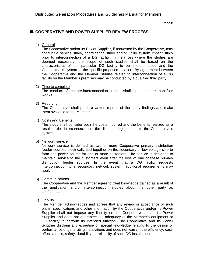## **III. COOPERATIVE AND POWER SUPPLIER REVIEW PROCESS**

1) General

The Cooperative and/or its Power Supplier, if requested by the Cooperative, may conduct a service study, coordination study and/or utility system impact study prior to interconnection of a DG facility. In instances where the studies are deemed necessary, the scope of such studies shall be based on the characteristics of the particular DG facility to be interconnected and the Cooperative's system at the specific proposed location. By agreement between the Cooperative and the Member, studies related to interconnection of a DG facility on the Member's premises may be conducted by a qualified third party.

2) Time to complete

The conduct of the pre-interconnection studies shall take no more than four weeks.

3) Reporting

The Cooperative shall prepare written reports of the study findings and make them available to the Member.

#### 4) Costs and Benefits

The study shall consider both the costs incurred and the benefits realized as a result of the interconnection of the distributed generation to the Cooperative's system.

5) Network service

Network service is defined as two or more Cooperative primary distribution feeder sources electrically tied together on the secondary or low voltage side to form one power source for one or more customers. The service is designed to maintain service to the customers even after the loss of one of these primary distribution feeder sources. In the event that a DG facility requests interconnection to a secondary network system, additional requirements may apply.

6) Communications

The Cooperative and the Member agree to treat knowledge gained as a result of the application and/or interconnection studies about the other party as confidential.

7) Liability

The Member acknowledges and agrees that any review or acceptance of such plans, specifications and other information by the Cooperative and/or its Power Supplier shall not impose any liability on the Cooperative and/or its Power Supplier and does not guarantee the adequacy of the Member's equipment or DG facility to perform its intended function. The Cooperative and its Power Supplier disclaim any expertise or special knowledge relating to the design or performance of generating installations and does not warrant the efficiency, costeffectiveness, safety, durability, or reliability of such DG installations.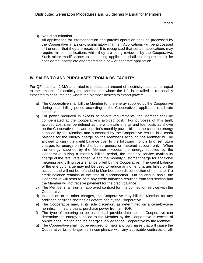## 8) Non-discrimination

All applications for interconnection and parallel operation shall be processed by the Cooperative in a non-discriminatory manner. Applications will be processed in the order that they are received. It is recognized that certain applications may require minor modifications while they are being reviewed by the Cooperative. Such minor modifications to a pending application shall not require that it be considered incomplete and treated as a new or separate application.

## **IV. SALES TO AND PURCHASES FROM A DG FACILITY**

For QF less than 2 MW and rated to produce an amount of electricity less than or equal to the amount of electricity the Member for whom the DG is installed is reasonably expected to consume and where the Member desires to export power:

- a) The Cooperative shall bill the Member for the energy supplied by the Cooperative during each billing period according to the Cooperative's applicable retail rate schedule.
- b) For power produced in excess of on-site requirements, the Member shall be compensated at the Cooperative's avoided cost. For purposes of this tariff, avoided cost shall be defined as the wholesale energy and fuel costs as shown on the Cooperative's power supplier's monthly power bill. In the case the energy supplied by the Member and purchased by the Cooperative results in a credit balance for the energy charge on the Member's account, the Member will be allowed to carry the credit balance over to the following months to offset future charges for energy on the distributed generation metered account only. When the energy supplied by the Member exceeds the energy supplied by the Cooperative during a monthly billing period, the monthly service availability charge of the retail rate schedule and the monthly customer charge for additional metering and billing costs shall be billed by the Cooperative. The credit balance of the energy charge may not be used to reduce any other charges billed on the account and will not be refunded to Member upon disconnection of the meter if a credit balance remains at the time of disconnection. On an annual basis, the Cooperative will reset to zero any credit balances resulting from this section and the Member will not receive payment for the credit balance.
- c) The Member shall sign an approved contract for interconnection service with the Cooperative.
- d) In addition to all other charges, the Cooperative may bill the Member for any additional facilities charges as determined by the Cooperative.
- e) The Cooperative may, at its sole discretion, as determined on a case-by-case non-discriminatory basis, purchase power from an NQF.
- f) The type of metering to be used shall provide data so the Cooperative can determine the energy supplied to the Member by the Cooperative in excess of on-site consumption and the energy supplied to the Cooperative by the Member.
- g) The Cooperative shall not be required to make any purchases that will cause the Cooperative to no longer be in compliance with any applicable contracts or all-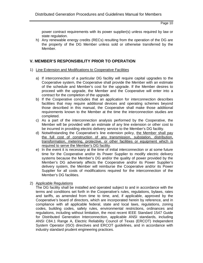power contract requirements with its power supplier(s) unless required by law or state regulation.

h) Any renewable energy credits (RECs) resulting from the operation of the DG are the property of the DG Member unless sold or otherwise transferred by the Member.

## **V. MEMBER'S RESPONSIBILITY PRIOR TO OPERATION**

- 1) Line Extension and Modifications to Cooperative Facilities
	- a) If interconnection of a particular DG facility will require capital upgrades to the Cooperative system, the Cooperative shall provide the Member with an estimate of the schedule and Member's cost for the upgrade. If the Member desires to proceed with the upgrade, the Member and the Cooperative will enter into a contract for the completion of the upgrade.
	- b) If the Cooperative concludes that an application for interconnection describes facilities that may require additional devices and operating schemes beyond those described in this manual, the Cooperative shall make those additional requirements known to the Member at the time the interconnection studies are completed.
	- c) As a part of the interconnection analysis performed by the Cooperative, the Member will be provided with an estimate of any line extension or other cost to be incurred in providing electric delivery service to the Member's DG facility.
	- d) Notwithstanding the Cooperative's line extension policy, the Member shall pay the full cost of construction of any transmission, substation, distribution, transformation, metering, protective, or other facilities or equipment which is required to serve the Member's DG facility.
	- e) In the event it is necessary at the time of initial interconnection or at some future time for the Cooperative and/or its Power Supplier to modify electric delivery systems because the Member's DG and/or the quality of power provided by the Member's DG adversely affects the Cooperative and/or its Power Supplier's delivery system, the Member will reimburse the Cooperative and/or its Power Supplier for all costs of modifications required for the interconnection of the Member's DG facilities.
- 2) Applicable Regulations

The DG facility shall be installed and operated subject to and in accordance with the terms and conditions set forth in the Cooperative's rules, regulations, bylaws, rates and tariffs, as amended from time to time, and, if applicable, approved by the Cooperative's board of directors, which are incorporated herein by reference, and in compliance with all applicable federal, state and local laws, regulations, zoning codes, building codes, safety rules, environmental restrictions, ordinances and regulations, including without limitation, the most recent IEEE Standard 1547 Guide for Distributed Generation Interconnection, applicable ANSI standards, including ANSI C84.1 Range A, Electric Reliability Council of Texas (ERCOT) Independent System Operator (ISO) directives and ERCOT guidelines, and in accordance with industry standard prudent engineering practices.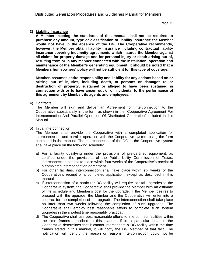## **3) Liability Insurance**

**A Member meeting the standards of this manual shall not be required to purchase any amount, type or classification of liability insurance the Member would not have in the absence of the DG. The Cooperative recommends, however, the Member obtain liability insurance including contractual liability insurance covering indemnity agreements which insures the Member against all claims for property damage and for personal injury or death arising out of, resulting from or in any manner connected with the installation, operation and maintenance of the Member's generating equipment. It should be noted that a Members homeowners' policy will not be sufficient for this type of coverage.**

**Member, assumes entire responsibility and liability for any actions based on or arising out of injuries, including death, to persons or damages to or destruction of property, sustained or alleged to have been sustained in connection with or to have arisen out of or incidental to the performance of this agreement by Member, its agents and employees.**

4) Contracts

The Member will sign and deliver an Agreement for Interconnection to the Cooperative substantially in the form as shown in the "Cooperative Agreement For Interconnection And Parallel Operation Of Distributed Generation" included in this Manual.

#### 5) Initial Interconnection

The Member shall provide the Cooperative with a completed application for interconnection and parallel operation with the Cooperative system using the form contained in the manual. The interconnection of the DG to the Cooperative system shall take place on the following schedule:

- a) For a facility qualifying under the provisions of pre-certified equipment, as certified under the provisions of the Public Utility Commission of Texas, interconnection shall take place within four weeks of the Cooperative's receipt of a completed interconnection agreement.
- b) For other facilities, interconnection shall take place within six weeks of the Cooperative's receipt of a completed application, except as described in this manual.
- c) If interconnection of a particular DG facility will require capital upgrades to the Cooperative system, the Cooperative shall provide the Member with an estimate of the schedule and Member's cost for the upgrade. If the Member desires to proceed with the upgrade, the Member and the Cooperative will enter into a contract for the completion of the upgrade. The interconnection shall take place no later than two weeks following the completion of such upgrades. The Cooperative shall employ best reasonable efforts to complete such system upgrades in the shortest time reasonably practical.
- d) The Cooperative shall use best reasonable efforts to interconnect facilities within the time frames described in this manual. If in a particular instance the Cooperative determines that it cannot interconnect a DG facility within the time frames stated in this manual, it will notify the DG Member of that fact. The notification will identify the reason or reasons interconnection could not be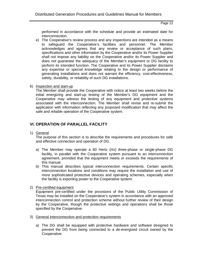performed in accordance with the schedule and provide an estimated date for interconnection.

- e) The Cooperative's review process and any inspections are intended as a means to safeguard the Cooperative's facilities and personnel. The Member acknowledges and agrees that any review or acceptance of such plans, specifications and other information by the Cooperative and/or its Power Supplier shall not impose any liability on the Cooperative and/or its Power Supplier and does not guarantee the adequacy of the Member's equipment or DG facility to perform its intended function. The Cooperative and its Power Supplier disclaims any expertise or special knowledge relating to the design or performance of generating installations and does not warrant the efficiency, cost-effectiveness, safety, durability, or reliability of such DG installations.
- 6) Inspection and start-up

The Member shall provide the Cooperative with notice at least two weeks before the initial energizing and start-up testing of the Member's DG equipment and the Cooperative may witness the testing of any equipment and protective systems associated with the interconnection. The Member shall revise and re-submit the application with information reflecting any proposed modification that may affect the safe and reliable operation of the Cooperative system.

## **VI. OPERATION OF PARALLEL FACILITY**

1) General

The purpose of this section is to describe the requirements and procedures for safe and effective connection and operation of DG.

- a) The Member may operate a 60 Hertz (Hz) three-phase or single-phase DG facility, in parallel with the Cooperative system pursuant to an interconnection agreement, provided that the equipment meets or exceeds the requirements of this manual.
- b) This manual describes typical interconnection requirements. Certain specific interconnection locations and conditions may require the installation and use of more sophisticated protective devices and operating schemes, especially when the facility is exporting power to the Cooperative system.
- 2) Pre-certified equipment

Equipment pre-certified under the provisions of the Public Utility Commission of Texas may be installed on the Cooperative's system in accordance with an approved interconnection control and protection scheme without further review of their design by the Cooperative, though the protective settings and operations shall be those specified by the Cooperative.

- 3) General interconnection and protection requirements
	- a) The DG shall be equipped with protective hardware and software designed to prevent the DG from being connected to a de-energized circuit owned by the Cooperative.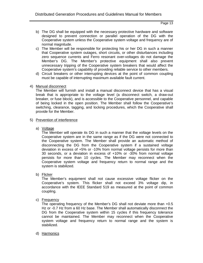- b) The DG shall be equipped with the necessary protective hardware and software designed to prevent connection or parallel operation of the DG with the Cooperative system unless the Cooperative system voltage and frequency are of normal magnitude.
- c) The Member will be responsible for protecting his or her DG in such a manner that Cooperative system outages, short circuits, or other disturbances including zero sequence currents and Ferro resonant over-voltages do not damage the Member's DG. The Member's protective equipment shall also prevent unnecessary tripping of the Cooperative system breakers that would affect the Cooperative system's capability of providing reliable service to other members.
- d) Circuit breakers or other interrupting devices at the point of common coupling must be capable of interrupting maximum available fault current.
- 4) Manual disconnect

The Member will furnish and install a manual disconnect device that has a visual break that is appropriate to the voltage level (a disconnect switch, a draw-out breaker, or fuse block), and is accessible to the Cooperative personnel, and capable of being locked in the open position. The Member shall follow the Cooperative's switching, clearance, tagging, and locking procedures, which the Cooperative shall provide for the Member.

- 5) Prevention of interference
	- a) Voltage

The Member will operate its DG in such a manner that the voltage levels on the Cooperative system are in the same range as if the DG were not connected to the Cooperative system. The Member shall provide an automatic method of disconnecting the DG from the Cooperative system if a sustained voltage deviation in excess of +5% or -10% from normal voltage persists for more than 30 seconds, or a deviation in excess of +10% or -30% from normal voltage persists for more than 10 cycles. The Member may reconnect when the Cooperative system voltage and frequency return to normal range and the system is stabilized.

b) Flicker

The Member's equipment shall not cause excessive voltage flicker on the Cooperative's system. This flicker shall not exceed 3% voltage dip, in accordance with the IEEE Standard 519 as measured at the point of common coupling.

c) Frequency

The operating frequency of the Member's DG shall not deviate more than +0.5 Hz or -0.7 Hz from a 60 Hz base. The Member shall automatically disconnect the DG from the Cooperative system within 15 cycles if this frequency tolerance cannot be maintained. The Member may reconnect when the Cooperative system voltage and frequency return to normal range and the system is stabilized.

d) Harmonics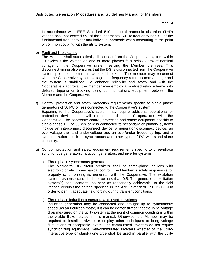In accordance with IEEE Standard 519 the total harmonic distortion (THD) voltage shall not exceed 5% of the fundamental 60 Hz frequency nor 3% of the fundamental frequency for any individual harmonic when measuring at the point of common coupling with the utility system.

e) Fault and line clearing

The Member shall automatically disconnect from the Cooperative system within 10 cycles if the voltage on one or more phases falls below -30% of nominal voltage on the Cooperative system serving the Member premises. This disconnect timing also ensures that the DG is disconnected from the Cooperative system prior to automatic re-close of breakers. The member may reconnect when the Cooperative system voltage and frequency return to normal range and the system is stabilized. To enhance reliability and safety and with the Cooperative's approval, the member may employ a modified relay scheme with delayed tripping or blocking using communications equipment between the Member and the Cooperative.

- f) Control, protection and safety protection requirements specific to single phase generators of 50 kW or less connected to the Cooperative's system Exporting to the Cooperative's system may require additional operational or protection devices and will require coordination of operations with the Cooperative. The necessary control, protection and safety equipment specific to single-phase DG of 50 kW or less connected to secondary or primary systems include an interconnect disconnect device, a generator disconnect device, an over-voltage trip, and under-voltage trip, an over/under frequency trip, and a synchronization check for synchronous and other types of DG with stand-alone capability.
- g) Control, protection and safety equipment requirements specific to three-phase synchronous generators, induction generators, and inverter systems
	- i) Three phase synchronous generators The Member's DG circuit breakers shall be three-phase devices with electronic or electromechanical control. The Member is solely responsible for properly synchronizing its generator with the Cooperative. The excitation system response ratio shall not be less than 0.5. The generator's excitation system(s) shall conform, as near as reasonably achievable, to the field voltage versus time criteria specified in the ANSI Standard C50.13-1989 in order to permit adequate field forcing during transient conditions.
	- ii) Three phase induction generators and inverter systems

Induction generation may be connected and brought up to synchronous speed (as an induction motor) if it can be demonstrated that the initial voltage drop measured on the utility system at the point of common coupling is within the visible flicker stated in this manual. Otherwise, the Member may be required to install hardware or employ other techniques to bring voltage fluctuations to acceptable levels. Line-commutated inverters do not require synchronizing equipment. Self-commutated inverters whether of the utilityinteractive type or stand-alone type shall be used in parallel with the utility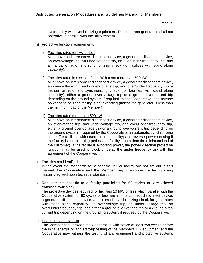system only with synchronizing equipment. Direct-current generation shall not operative in parallel with the utility system.

#### h) Protective function requirements

i) Facilities rated ten kW or less Must have an interconnect disconnect device, a generator disconnect device, an over-voltage trip, an under-voltage trip, an over/under frequency trip, and a manual or automatic synchronizing check (for facilities with stand alone capability).

#### ii) Facilities rated in excess of ten kW but not more than 500 kW

Must have an interconnect disconnect device, a generator disconnect device, an over-voltage trip, and under-voltage trip, and over/under frequency trip, a manual or automatic synchronizing check (for facilities with stand alone capability), either a ground over-voltage trip or a ground over-current trip depending on the ground system if required by the Cooperative, and reverse power sensing if the facility is not exporting (unless the generator is less than the minimum load of the Member).

#### iii) Facilities rated more than 500 kW

Must have an interconnect disconnect device, a generator disconnect device, an over-voltage trip, and under-voltage trip, and over/under frequency trip, either a ground over-voltage trip or a ground over-current trip depending on the ground system if required by the Cooperative, an automatic synchronizing check (for facilities with stand alone capability) and reverse power sensing if the facility is not exporting (unless the facility is less than the minimum load of the customer). If the facility is exporting power, the power direction protective function may be used to block or delay the under frequency trip with the agreement of the Cooperative.

#### i) Facilities not identified

In the event the standards for a specific unit or facility are not set out in this manual, the Cooperative and the Member may interconnect a facility using mutually agreed upon technical standards.

j) Requirements specific to a facility paralleling for 60 cycles or less (closed transition switching)

The protective devices required for facilities 10 MW or less which parallel with the Cooperative system for 60 cycles or less are an interconnect disconnect device, a generator disconnect device, an automatic synchronizing check for generators with stand alone capability, an over-voltage trip, an under voltage trip, an over/under frequency trip, and either a ground over-voltage trip or a ground overcurrent trip depending on the grounding system, if required by the Cooperative.

k) Inspection and start-up

The Member shall provide the Cooperative with notice at least two weeks before the initial energizing and start-up testing of the Member's DG equipment and the Cooperative may witness the testing of any equipment and protective systems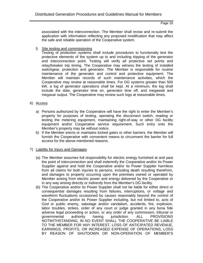associated with the interconnection. The Member shall revise and re-submit the application with information reflecting any proposed modification that may affect the safe and reliable operation of the Cooperative system.

l) Site testing and commissioning

Testing of protection systems shall include procedures to functionally test the protective elements of the system up to and including tripping of the generator and interconnection point. Testing will verify all protective set points and relay/breaker trip timing. The Cooperative may witness the testing of installed switchgear, protection and generator. The Member is responsible for routine maintenance of the generator and control and protective equipment. The Member will maintain records of such maintenance activities, which the Cooperative may review at reasonable times. For DG systems greater than 500 kW, a log of generator operations shall be kept. At a minimum, the log shall include the date, generator time on, generator time off, and megawatt and megavar output. The Cooperative may review such logs at reasonable times.

#### 6) Access

- a) Persons authorized by the Cooperative will have the right to enter the Member's property for purposes of testing, operating the disconnect switch, reading or testing the metering equipment, maintaining right-of-way or other DG facility equipment and/or Cooperative service requirement. Such entry onto the Member's property may be without notice.
- b) If the Member erects or maintains locked gates or other barriers, the Member will furnish the Cooperative with convenient means to circumvent the barrier for full access for the above-mentioned reasons.

#### 7) Liability for Injury and Damages

- (a) The Member assumes full responsibility for electric energy furnished at and past the point of interconnection and shall indemnify the Cooperative and/or its Power Supplier against and hold the Cooperative and/or its Power Supplier harmless from all claims for both injuries to persons, including death resulting therefrom, and damages to property occurring upon the premises owned or operated by Member arising from electric power and energy delivered by the Cooperative or in any way arising directly or indirectly from the Member's DG facility.
- (b) The Cooperative and/or its Power Supplier shall not be liable for either direct or consequential damages resulting from failures, interruptions, or voltage and waveform fluctuations occasioned by causes reasonably beyond the control of the Cooperative and/or its Power Supplier including, but not limited to, acts of God or public enemy, sabotage and/or vandalism, accidents, fire, explosion, labor troubles, strikes, order of any court or judge granted in any bona fide adverse legal proceeding or action, or any order of any commission, tribunal or governmental authority having jurisdiction. ALL PROVISIONS NOTWITHSTANDING, IN NO EVENT SHALL THE COOPERATIVE BE LIABLE TO THE MEMBER FOR ANY INTEREST, LOSS OF ANTICIPATED REVENUE, EARNINGS, PROFITS, OR INCREASED EXPENSE OF OPERATIONS, LOSS BY REASON OF SHUTDOWN OR NON-OPERATION OF MEMBER'S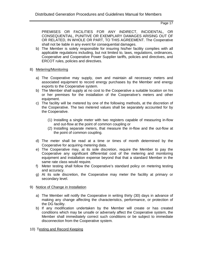PREMISES OR FACILITIES FOR ANY INDIRECT, INCIDENTAL, OR CONSEQUENTIAL, PUNITIVE OR EXEMPLARY DAMAGES ARISING OUT OF OR RELATED, IN WHOLE OR PART, TO THIS AGREEMENT. The Cooperative shall not be liable in any event for consequential damages.

- b) The Member is solely responsible for insuring his/her facility complies with all applicable regulations including, but not limited to, laws, regulations, ordinances, Cooperative and Cooperative Power Supplier tariffs, policies and directives, and ERCOT rules, policies and directives.
- 8) Metering/Monitoring
	- a) The Cooperative may supply, own and maintain all necessary meters and associated equipment to record energy purchases by the Member and energy exports to the Cooperative system.
	- b) The Member shall supply at no cost to the Cooperative a suitable location on his or her premises for the installation of the Cooperative's meters and other equipment.
	- c) The facility will be metered by one of the following methods, at the discretion of the Cooperative. The two metered values shall be separately accounted for by the Cooperative.
		- (1) Installing a single meter with two registers capable of measuring in-flow and out-flow at the point of common coupling or
		- (2) Installing separate meters, that measure the in-flow and the out-flow at the point of common coupling.
	- d) The meter shall be read at a time or times of month determined by the Cooperative for acquiring metering data.
	- e) The Cooperative may, at its sole discretion, require the Member to pay the Cooperative any significant differential cost of the metering and monitoring equipment and installation expense beyond that that a standard Member in the same rate class would require.
	- f) Meter testing shall follow the Cooperative's standard policy on metering testing and accuracy.
	- g) At its sole discretion, the Cooperative may meter the facility at primary or secondary level.

## 9) Notice of Change in Installation

- a) The Member will notify the Cooperative in writing thirty (30) days in advance of making any change affecting the characteristics, performance, or protection of the DG facility.
- b) If any modification undertaken by the Member will create or has created conditions which may be unsafe or adversely affect the Cooperative system, the Member shall immediately correct such conditions or be subject to immediate disconnection from the Cooperative system.
- 10) Testing and Record Keeping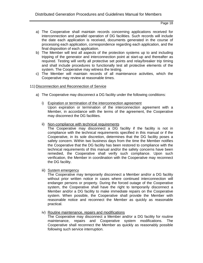- a) The Cooperative shall maintain records concerning applications received for interconnection and parallel operation of DG facilities. Such records will include the date each application is received, documents generated in the course of processing each application, correspondence regarding each application, and the final disposition of each application.
- b) The Member will test all aspects of the protection systems up to and including tripping of the generator and interconnection point at start-up and thereafter as required. Testing will verify all protective set points and relay/breaker trip timing and shall include procedures to functionally test all protective elements of the system. The Cooperative may witness the testing.
- c) The Member will maintain records of all maintenance activities, which the Cooperative may review at reasonable times.
- 11) Disconnection and Reconnection of Service
	- a) The Cooperative may disconnect a DG facility under the following conditions:
		- i) Expiration or termination of the interconnection agreement Upon expiration or termination of the interconnection agreement with a Member, in accordance with the terms of the agreement, the Cooperative may disconnect the DG facilities.
		- ii) Non-compliance with technical requirements

The Cooperative may disconnect a DG facility if the facility is not in compliance with the technical requirements specified in this manual or if the Cooperative, in its sole discretion, determines that the DG facility poses a safety concern. Within two business days from the time the Member notifies the Cooperative that the DG facility has been restored to compliance with the technical requirements of this manual and/or the safety concerns have been remedied, the Cooperative shall verify such compliance. Upon such verification, the Member in coordination with the Cooperative may reconnect the DG facility.

iii) System emergency

The Cooperative may temporarily disconnect a Member and/or a DG facility without prior written notice in cases where continued interconnection will endanger persons or property. During the forced outage of the Cooperative system, the Cooperative shall have the right to temporarily disconnect a Member and/or a DG facility to make immediate repairs on the Cooperative system. When possible, the Cooperative shall provide the Member with reasonable notice and reconnect the Member as quickly as reasonable practical.

iv) Routine maintenance, repairs and modifications

The Cooperative may disconnect a Member and/or a DG facility for routine maintenance, repairs and Cooperative system modifications. The Cooperative shall reconnect the Member as quickly as reasonably possible following such service interruption.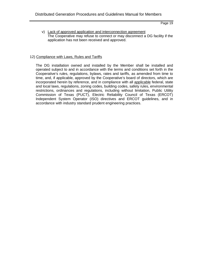v) Lack of approved application and interconnection agreement The Cooperative may refuse to connect or may disconnect a DG facility if the application has not been received and approved.

#### 12) Compliance with Laws, Rules and Tariffs

The DG installation owned and installed by the Member shall be installed and operated subject to and in accordance with the terms and conditions set forth in the Cooperative's rules, regulations, bylaws, rates and tariffs, as amended from time to time, and, if applicable, approved by the Cooperative's board of directors, which are incorporated herein by reference, and in compliance with all applicable federal, state and local laws, regulations, zoning codes, building codes, safety rules, environmental restrictions, ordinances and regulations, including without limitation, Public Utility Commission of Texas (PUCT), Electric Reliability Council of Texas (ERCOT) Independent System Operator (ISO) directives and ERCOT guidelines, and in accordance with industry standard prudent engineering practices.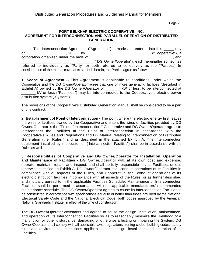#### **FORT BELKNAP ELECTRIC COOPERATIVE, INC. AGREEMENT FOR INTERCONNECTION AND PARALLEL OPERATION OF DISTRIBUTED GENERATION**

This Interconnection Agreement ("Agreement") is made and entered into this \_\_\_\_\_ day of \_\_\_\_\_\_\_\_\_\_\_\_\_\_\_\_\_\_, 20\_\_\_, by \_\_\_\_\_\_\_\_\_\_\_\_\_\_\_\_\_\_\_\_\_\_\_\_\_\_\_\_\_\_\_, ("Cooperative"), a corporation organized under the laws of \_\_\_\_\_\_\_\_\_\_\_\_\_\_\_\_\_\_\_\_\_\_\_\_\_\_\_\_\_\_\_\_\_\_\_\_\_\_, and \_\_\_\_\_\_\_\_\_\_\_\_\_\_\_\_\_\_\_\_\_\_\_\_\_\_\_\_\_\_\_\_\_\_\_ ("DG Owner/Operator"), each hereinafter sometimes referred to individually as "Party" or both referred to collectively as the "Parties." In consideration of the mutual covenants set forth herein, the Parties agree as follows:

1. **Scope of Agreement --** This Agreement is applicable to conditions under which the Cooperative and the DG Owner/Operator agree that one or more generating facilities (described in Exhibit A) owned by the DG Owner/Operator of \_\_\_\_\_\_ kW or less, to be interconnected at kV or less ("Facilities") may be interconnected to the Cooperative's electric power distribution system ("System").

The provisions of the Cooperative's Distributed Generation Manual shall be considered to be a part of this contract.

2. **Establishment of Point of Interconnection -** The point where the electric energy first leaves the wires or facilities owned by the Cooperative and enters the wires or facilities provided by DG Owner/Operator is the "Point of Interconnection." Cooperative and DG Owner/Operator agree to interconnect the Facilities at the Point of Interconnection in accordance with the Cooperative's Rules and Regulations and DG Manual relating to interconnection of Distributed Generation (the "Rules") and as described in the attached Exhibit A. The interconnection equipment installed by the customer ("Interconnection Facilities") shall be in accordance with the Rules as well.

3. **Responsibilities of Cooperative and DG Owner/Operator for Installation, Operation and Maintenance of Facilities -** DG Owner/Operator will, at its own cost and expense, operate, maintain, repair, and inspect, and shall be fully responsible for, its Facilities, unless otherwise specified on Exhibit A. DG Owner/Operator shall conduct operations of its Facilities in compliance with all aspects of the Rules, and Cooperative shall conduct operations of its electric distribution facilities in compliance with all aspects of the Rules, or as further described and mutually agreed to in the applicable Facilities Schedule. Maintenance of Interconnection Facilities shall be performed in accordance with the applicable manufacturers' recommended maintenance schedule. The DG Owner/Operator agrees to cause its Interconnection Facilities to be constructed in accordance with specifications equal to or better than those provided by the National Electrical Safety Code and the National Electrical Code, both codes approved by the American National Standards Institute, in effect at the time of construction.

The DG Owner/Operator covenants and agrees to cause the design, installation, maintenance, and operation of, its Interconnection Facilities so as to reasonably minimize the likelihood of a malfunction or other disturbance, damaging or otherwise affecting or impairing the System. DG Owner/Operator shall comply with all applicable laws, regulations, zoning codes, building codes, safety rules and environmental restrictions applicable to the design, installation and operation of its Facilities.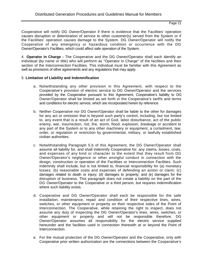Cooperative will notify DG Owner/Operator if there is evidence that the Facilities' operation causes disruption or deterioration of service to other customer(s) served from the System or if the Facilities' operation causes damage to the System. DG Owner/Operator will notify the Cooperative of any emergency or hazardous condition or occurrence with the DG Owner/Operator's Facilities, which could affect safe operation of the System.

4. **Operator in Charge -** The Cooperative and the DG Owner/Operator shall each identify an individual (by name or title) who will perform as "Operator in Charge" of the facilities and their section of the Interconnection Facilities. This individual must be familiar with this Agreement as well as provisions of other agreements and any regulations that may apply.

#### 5. **Limitation of Liability and Indemnification**

- a. Notwithstanding any other provision in this Agreement, with respect to the Cooperative's provision of electric service to DG Owner/Operator and the services provided by the Cooperative pursuant to this Agreement, Cooperative's liability to DG Owner/Operator shall be limited as set forth in the Cooperative's tariffs and terms and conditions for electric service, which are incorporated herein by reference.
- b. Neither Cooperative nor DG Owner/Operator shall be liable to the other for damages for any act or omission that is beyond such party's control, including, but not limited to, any event that is a result of an act of God, labor disturbance, act of the public enemy, war, insurrection, riot, fire, storm, flood, explosion, breakage or accident to any part of the System or to any other machinery or equipment, a curtailment, law, order, or regulation or restriction by governmental, military, or lawfully established civilian authorities.
- c. Notwithstanding Paragraph 5.b of this Agreement, the DG Owner/Operator shall assume all liability for, and shall indemnify Cooperative for, any claims, losses, costs, and expenses of any kind or character to the extent that they result from DG Owner/Operator's negligence or other wrongful conduct in connection with the design, construction or operation of the Facilities or Interconnection Facilities. Such indemnity shall include, but is not limited to, financial responsibility for (a) monetary losses; (b) reasonable costs and expenses of defending an action or claim; (c) damages related to death or injury; (d) damages to property; and (e) damages for the disruption of business. This paragraph does not create a liability on the part of the DG Owner/Operator to the Cooperative or a third person, but requires indemnification where such liability exists.
- d. Cooperative and DG Owner/Operator shall each be responsible for the safe installation, maintenance, repair and condition of their respective lines, wires, switches, or other equipment or property on their respective sides of the Point of Interconnection. The Cooperative, while retaining the right to inspect, does not assume any duty of inspecting the DG Owner/Operator's lines, wires, switches, or other equipment or property and will not be responsible therefore. DG Owner/Operator assumes all responsibility for the electric service supplied hereunder and the facilities used in connection therewith at or beyond the Point of Interconnection.
- e. For the mutual protection of the DG Owner/Operator and the Cooperative, only with Cooperative prior written authorization are the connections between the Cooperative's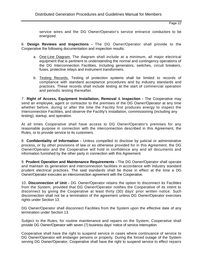service wires and the DG Owner/Operator's service entrance conductors to be energized.

6. **Design Reviews and Inspections -** The DG Owner/Operator shall provide to the Cooperative the following documentation and inspection results:

- a. One-Line Diagram. The diagram shall include at a minimum, all major electrical equipment that is pertinent to understanding the normal and contingency operations of the DG Interconnection Facilities, including generators, switches, circuit breakers, fuses, protective relays and instrument transformers.
- b. Testing Records. Testing of protection systems shall be limited to records of compliance with standard acceptance procedures and by industry standards and practices. These records shall include testing at the start of commercial operation and periodic testing thereafter.

7. **Right of Access, Equipment Installation, Removal** & **Inspection -** The Cooperative may send an employee, agent or contractor to the premises of the DG Owner/Operator at any time whether before, during or after the time the Facility first produces energy to inspect the Interconnection Facilities, and observe the Facility's installation, commissioning (including any testing), startup, and operation.

At all times Cooperative shall have access to DG Owner/Operator's premises for any reasonable purpose in connection with the interconnection described in this Agreement, the Rules, or to provide service to its customers.

8. **Confidentiality of Information -** Unless compelled to disclose by judicial or administrative process, or by other provisions of law or as otherwise provided for in this Agreement, the DG Owner/Operator and the Cooperative will hold in confidence any and all documents and information furnished by the other party in connection with this Agreement.

9. **Prudent Operation and Maintenance Requirements -** The DG Owner/Operator shall operate and maintain its generation and interconnection facilities in accordance with industry standard prudent electrical practices. The said standards shall be those in effect at the time a DG Owner/Operator executes an interconnection agreement with the Cooperative.

10. **Disconnection of Unit -** DG Owner/Operator retains the option to disconnect its Facilities from the System, provided that DG Owner/Operator notifies the Cooperative of its intent to disconnect by giving the Cooperative at least thirty (30) days' prior written notice. Such disconnection shall not be a termination of the agreement unless DG Owner/Operator exercises rights under Section 13.

DG Owner/Operator shall disconnect Facilities from the System upon the effective date of any termination under Section 13.

Subject to the Rules, for routine maintenance and repairs on the System, Cooperative shall provide DG Owner/Operator with seven (7) business days' notice of service interruption.

Cooperative shall have the right to suspend service in cases where continuance of service to DG Owner/Operator will endanger persons or property. During the forced outage of the System serving DG Owner/Operator, Cooperative shall have the right to suspend service to effect repairs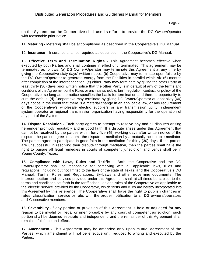on the System, but the Cooperative shall use its efforts to provide the DG Owner/Operator with reasonable prior notice.

11. **Metering -** Metering shall be accomplished as described in the Cooperative's DG Manual.

12. **Insurance –** Insurance shall be required as described in the Cooperative's DG Manual.

13. **Effective Term and Termination Rights -** This Agreement becomes effective when executed by both Parties and shall continue in effect until terminated. This agreement may be terminated as follows: (a) DG Owner/Operator may terminate this Agreement at any time by giving the Cooperative sixty days' written notice; (b) Cooperative may terminate upon failure by the DG Owner/Operator to generate energy from the Facilities in parallel within six (6) months after completion of the interconnection; (c) either Party may terminate by giving the other Party at least thirty (30) days prior written notice that the other Party is in default of any of the terms and conditions of the Agreement or the Rules or any rate schedule, tariff, regulation, contract, or policy of the Cooperative, so long as the notice specifies the basis for termination and there is opportunity to cure the default; (d) Cooperative may terminate by giving DG Owner/Operator at least sixty (60) days notice in the event that there is a material change in an applicable law, or any requirement of the Cooperative's wholesale electric suppliers or any transmission utility, independent system operator or regional transmission organization having responsibility for the operation of any part of the System.

14. **Dispute Resolution -** Each party agrees to attempt to resolve any and all disputes arising hereunder promptly, equitably and in good faith. If a dispute arises under this Agreement that cannot be resolved by the parties within forty-five (45) working days after written notice of the dispute, the parties agree to submit the dispute to mediation by a mutually acceptable mediator. The parties agree to participate in good faith in the mediation for thirty (30) days. If the parties are unsuccessful in resolving their dispute through mediation, then the parties shall have the right to pursue all legal remedies in courts of competent jurisdiction and venue shall be in Young County, Texas.

15. **Compliance with Laws, Rules and Tariffs** - Both the Cooperative and the DG Owner/Operator shall be responsible for complying with all applicable laws, rules and regulations, including but not limited to the laws of the state of Texas, and the Cooperative's DG Manual, Tariffs, Rules and Regulations, By-Laws and other governing documents. The interconnection and services provided under this Agreement shall at all times be subject to the terms and conditions set forth in the tariff schedules and rules of the Cooperative as applicable to the electric service provided by the Cooperative, which tariffs and rules are hereby incorporated into this Agreement by this reference. The Cooperative shall have the right to publish changes in rates, classification, service or rule, with the proper notification to all DG owners/operators and Cooperative members.

16. **Severability** -If any portion or provision of this Agreement is held or adjudged for any reason to be invalid or illegal or unenforceable by any court of competent jurisdiction, such portion shall be deemed separate and independent, and the remainder of this Agreement shall remain in full force and effect.

17. **Amendment -** This Agreement may be amended only upon mutual agreement of the Parties, which amendment will not be effective until reduced to writing and executed by the Parties.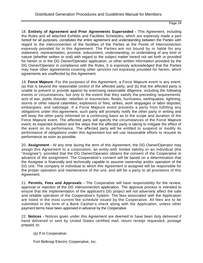18. **Entirety of Agreement and Prior Agreements Superseded -** This Agreement, including the Rules and all attached Exhibits and Facilities Schedules, which are expressly made a part hereof for all purposes, constitutes the entire agreement and understanding between the Parties with regard to the interconnection of the facilities of the Parties at the Points of Interconnection expressly provided for in this Agreement. The Parties are not bound by or liable for any statement, representation, promise, inducement, understanding, or undertaking of any kind or nature (whether written or oral) with regard to the subject matter hereof not set forth or provided for herein or in the DG Owner/Operator application, or other written information provided by the DG Owner/Operator in compliance with the Rules. It is expressly acknowledged that the Parties may have other agreements covering other services not expressly provided for herein, which agreements are unaffected by this Agreement.

19. **Force Majeure** -For the purposes of this Agreement, a Force Majeure event is any event: (a) that is beyond the reasonable control of the affected party; and (b) that the affected party is unable to prevent or provide against by exercising reasonable diligence, including the following events or circumstances, but only to the extent that they satisfy the preceding requirements: acts of war, public disorder, rebellion or insurrection; floods, hurricanes, earthquakes, lightning, storms or other natural calamities; explosions or fires; strikes, work stoppages or labor disputes; embargoes; and sabotage. If a Force Majeure event prevents a party from fulfilling any obligations under this agreement, such party will promptly notify the other party in writing and will keep the other party informed on a continuing basis as to the scope and duration of the Force Majeure event. The affected party will specify the circumstances of the Force Majeure event, its expected duration and the steps that the affected party is taking to mitigate the effect of the event on its performance. The affected party will be entitled to suspend or modify its performance of obligations under this Agreement but will use reasonable efforts to resume its performance as soon as possible.

20. **Assignment -** At any time during the term of this Agreement, the DG Owner/Operator may assign this Agreement to a corporation, an entity with limited liability or an individual (the "Assignee"), provided that the DG Owner/Operator obtains the consent of the Cooperative in advance of the assignment. The Cooperative's consent will be based on a determination that the Assignee is financially and technically capable to assume ownership and/or operation of the DG unit. The company or individual to which this Agreement is assigned will be responsible for the proper operation and maintenance of the unit, and will be a party to all provisions of this Agreement.

21. **Permits, Fees and Approvals -** The Cooperative will have responsibility for the review, approval or rejection of the DG interconnection application. The approval process is intended to ensure that the implementation of the applicant's DG project will not adversely affect the safe and reliable operation of the Cooperative's System. The fees associated with the Application are listed in the most current fee schedule issued by the Cooperative. All fees are to be submitted in the form of a Bank Cashier's check along with the Application, unless other payment terms have been approved in advance by the Cooperative.

22. **Notices -** Notices given under this Agreement are deemed to have been duly delivered if hand delivered or sent by United States certified mail, return receipt requested, postage prepaid, to:

(a) If to Cooperative:

Fort Belknap Electric Cooperative, Inc.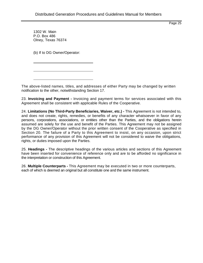1302 W. Main P.O. Box 486 Olney, Texas 76374

(b) If to DG Owner/Operator:

The above-listed names, titles, and addresses of either Party may be changed by written notification to the other, notwithstanding Section 17.

23. **Invoicing and Payment -** Invoicing and payment terms for services associated with this Agreement shall be consistent with applicable Rules of the Cooperative.

24. **Limitations (No Third-Party Beneficiaries, Waiver, etc.) -** This Agreement is not intended to, and does not create, rights, remedies, or benefits of any character whatsoever in favor of any persons, corporations, associations, or entities other than the Parties, and the obligations herein assumed are solely for the use and benefit of the Parties. This Agreement may not be assigned by the DG Owner/Operator without the prior written consent of the Cooperative as specified in Section 20. The failure of a Party to this Agreement to insist, on any occasion, upon strict performance of any provision of this Agreement will not be considered to waive the obligations, rights, or duties imposed upon the Parties.

25. **Headings -** The descriptive headings of the various articles and sections of this Agreement have been inserted for convenience of reference only and are to be afforded no significance in the interpretation or construction of this Agreement.

26. **Multiple Counterparts -** This Agreement may be executed in two or more counterparts, each of which is deemed an original but all constitute one and the same instrument.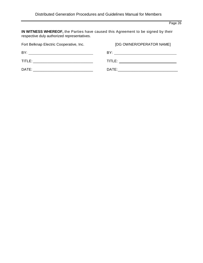**IN WITNESS WHEREOF,** the Parties have caused this Agreement to be signed by their respective duly authorized representatives.

| Fort Belknap Electric Cooperative, Inc. | [DG OWNER/OPERATOR NAME] |  |  |
|-----------------------------------------|--------------------------|--|--|
| BY:                                     | BY:                      |  |  |
| TITLE:                                  | <b>TITLE:</b> TITLE:     |  |  |
| DATE:                                   | DATE:                    |  |  |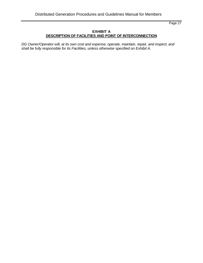## **EXHIBIT A DESCRIPTION OF FACILITIES AND POINT OF INTERCONNECTION**

DG Owner/Operator will, at its own cost and expense, operate, maintain, repair, and inspect, and *shall be fully responsible for its Facilities, unless otherwise specified on Exhibit A.*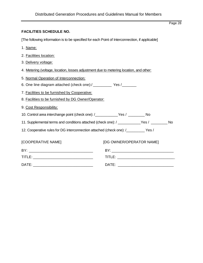## **FACILITIES SCHEDULE NO.**

[The following information is to be specified for each Point of Interconnection, if applicable]

- 1. Name:
- 2. Facilities location:
- 3. Delivery voltage:
- 4. Metering (voltage, location, losses adjustment due to metering location, and other:
- 5. Normal Operation of Interconnection:
- 6. One line diagram attached (check one):/\_\_\_\_\_\_\_\_\_\_ Yes /\_\_\_\_\_\_\_
- 7. Facilities to be furnished by Cooperative:
- 8. Facilities to be furnished by DG Owner/Operator:
- 9. Cost Responsibility:
- 10. Control area interchange point (check one): /\_\_\_\_\_\_\_\_\_\_\_Yes / \_\_\_\_\_\_\_\_ No
- 11. Supplemental terms and conditions attached (check one): / \_\_\_\_\_\_\_\_\_\_\_Yes / \_\_\_\_\_\_\_\_ No
- 12. Cooperative rules for DG interconnection attached (check one): /\_\_\_\_\_\_\_\_\_ Yes /

| [COOPERATIVE NAME] | [DG OWNER/OPERATOR NAME] |  |  |
|--------------------|--------------------------|--|--|
| BY.                | RY.                      |  |  |
| TITLE:             | TITLE:                   |  |  |
| DATE:              | DATE:                    |  |  |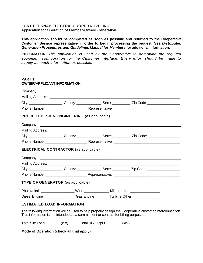## **FORT BELKNAP ELECTRIC COOPERATIVE, INC.**

Application for Operation of Member-Owned Generation

**This application should be completed as soon as possible and returned to the Cooperative Customer Service representative in order to begin processing the request. See** *Distributed Generation Procedures and Guidelines Manual for Members* **for additional information.**

INFORMATION: *This application is used by the Cooperative to determine the required equipment configuration for the Customer interface. Every effort should be made to supply as much information as possible.*

| <b>OWNER/APPLICANT INFORMATION</b>                                                                             |  |
|----------------------------------------------------------------------------------------------------------------|--|
|                                                                                                                |  |
|                                                                                                                |  |
| City: ________________________County: ____________________State: _______________ Zip Code: ___________________ |  |
|                                                                                                                |  |
| <b>PROJECT DESIGN/ENGINEERING</b> (as applicable)                                                              |  |
|                                                                                                                |  |
|                                                                                                                |  |
|                                                                                                                |  |
|                                                                                                                |  |
|                                                                                                                |  |
| <b>ELECTRICAL CONTRACTOR (as applicable)</b>                                                                   |  |
|                                                                                                                |  |
|                                                                                                                |  |
| City: ________________________County: ___________________State: ________________Zip Code: ____________________ |  |
|                                                                                                                |  |
| TYPE OF GENERATOR (as applicable)                                                                              |  |
| Photovoltaic ____________________Wind ________________Microturbine _____________                               |  |
| Diesel Engine ____________________Gas Engine _________Turbine Other ____________                               |  |

Total Site Load \_\_\_\_\_\_\_ (kW) Total DG Output\_\_\_\_\_\_\_\_(kW)

**Mode of Operation (check all that apply)**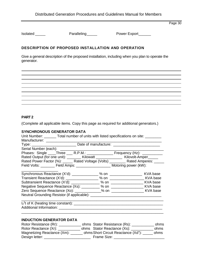Isolated \_\_\_\_\_ Paralleling \_\_\_\_ Power Export\_\_\_\_\_

## **DESCRIPTION OF PROPOSED INSTALLATION AND OPERATION**

Give a general description of the proposed installation, including when you plan to operate the generator.

## **PART 2**

(Complete all applicable items. Copy this page as required for additional generators.)

## **SYNCHRONOUS GENERATOR DATA**

| Unit Number: _______ Total number of units with listed specifications on site: _______ |  |  |
|----------------------------------------------------------------------------------------|--|--|
| Manufacturer: ____________________                                                     |  |  |
| Type: _______________________________Date of manufacture: ______________________       |  |  |
|                                                                                        |  |  |
| Phases: Single ____Three ____ R.P.M.: _________________ Frequency (Hz): _________      |  |  |
| Rated Output (for one unit): ________ Kilowatt _______________ Kilovolt-Amper_____     |  |  |
| Rated Power Factor (%): _____ Rated Voltage (Volts) _______ Rated Amperes: _____       |  |  |
| Field Volts: __________ Field Amps: ______________________ Motoring power (kW):        |  |  |
|                                                                                        |  |  |
|                                                                                        |  |  |
|                                                                                        |  |  |
| Negative Sequence Reactance (Xs): _________ % on __________________ KVA base           |  |  |
|                                                                                        |  |  |
|                                                                                        |  |  |
|                                                                                        |  |  |
|                                                                                        |  |  |
|                                                                                        |  |  |
|                                                                                        |  |  |

## **INDUCTION GENERATOR DATA**

| Rotor Resistance (Rr):      | ohms Stator Resistance (Rs):        | ohms |
|-----------------------------|-------------------------------------|------|
| Rotor Reactance (Xr):       | ohms Stator Reactance (Xs):         | ohms |
| Magnetizing Reactance (Xm): | ohms Short Circuit Reactance (Xd"): | ohms |
| Design letter:              | Frame Size:                         |      |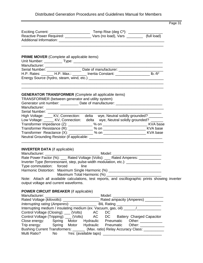|                                                                                                                    |                                                                                                                                                                       | Page 31               |
|--------------------------------------------------------------------------------------------------------------------|-----------------------------------------------------------------------------------------------------------------------------------------------------------------------|-----------------------|
|                                                                                                                    |                                                                                                                                                                       |                       |
|                                                                                                                    |                                                                                                                                                                       |                       |
|                                                                                                                    |                                                                                                                                                                       |                       |
|                                                                                                                    |                                                                                                                                                                       |                       |
| <b>PRIME MOVER</b> (Complete all applicable items)                                                                 |                                                                                                                                                                       |                       |
|                                                                                                                    |                                                                                                                                                                       |                       |
|                                                                                                                    | Manufacturer: __________________________Date of manufacturer: ___________________<br>Serial Number: ______________________Date of manufacturer: _____________________ |                       |
|                                                                                                                    |                                                                                                                                                                       |                       |
|                                                                                                                    | H.P. Rates: ______ H.P. Max.: _______ Inertia Constant: _________________ lb.-ft <sup>2</sup>                                                                         |                       |
|                                                                                                                    |                                                                                                                                                                       |                       |
|                                                                                                                    | <u> 1989 - Johann Harry Harry Harry Harry Harry Harry Harry Harry Harry Harry Harry Harry Harry Harry Harry Harry</u>                                                 |                       |
| <b>GENERATOR TRANSFORMER</b> (Complete all applicable items)<br>TRANSFORMER (between generator and utility system) |                                                                                                                                                                       |                       |
|                                                                                                                    | Generator unit number: _________ Date of manufacturer: _________________________                                                                                      |                       |
|                                                                                                                    |                                                                                                                                                                       |                       |
|                                                                                                                    |                                                                                                                                                                       |                       |
|                                                                                                                    | High Voltage: ____ KV, Connection: delta wye, Neutral solidly grounded? ______                                                                                        |                       |
|                                                                                                                    | Low Voltage: _____ KV, Connection: delta wye, Neutral solidly grounded? ______                                                                                        |                       |
|                                                                                                                    |                                                                                                                                                                       |                       |
|                                                                                                                    |                                                                                                                                                                       |                       |
|                                                                                                                    |                                                                                                                                                                       |                       |
|                                                                                                                    |                                                                                                                                                                       |                       |
|                                                                                                                    |                                                                                                                                                                       |                       |
| <b>INVERTER DATA</b> (if applicable)                                                                               |                                                                                                                                                                       |                       |
|                                                                                                                    |                                                                                                                                                                       |                       |
|                                                                                                                    |                                                                                                                                                                       |                       |
|                                                                                                                    | Inverter Type (ferroresonant, step, pulse-width modulation, etc.): _____________                                                                                      |                       |
| Type commutation: forced line<br>Harmonic Distortion: Maximum Single Harmonic (%) _                                |                                                                                                                                                                       |                       |
|                                                                                                                    | Maximum Total Harmonic (%)                                                                                                                                            |                       |
|                                                                                                                    | Note: Attach all available calculations, test reports, and oscillographic prints showing inverter                                                                     |                       |
| output voltage and current waveforms.                                                                              |                                                                                                                                                                       |                       |
| <b>POWER CIRCUIT BREAKER (if applicable)</b>                                                                       |                                                                                                                                                                       |                       |
|                                                                                                                    |                                                                                                                                                                       |                       |
|                                                                                                                    |                                                                                                                                                                       |                       |
|                                                                                                                    |                                                                                                                                                                       |                       |
|                                                                                                                    |                                                                                                                                                                       |                       |
| Control Voltage (Closing): ___ (Volts) AC                                                                          | DC                                                                                                                                                                    |                       |
| Control Voltage (Tripping): ___ (Volts)                                                                            | AC DC Battery Charged Capacitor                                                                                                                                       |                       |
|                                                                                                                    | Close energy: Spring Motor Hydraulic Pneumatic Other: __________                                                                                                      |                       |
| Trip energy: Spring Motor Hydraulic Pneumatic                                                                      |                                                                                                                                                                       | Other: ______________ |
|                                                                                                                    | Bushing Current Transformers: _______ (Max. ratio) Relay Accuracy Class: ________                                                                                     |                       |
|                                                                                                                    |                                                                                                                                                                       |                       |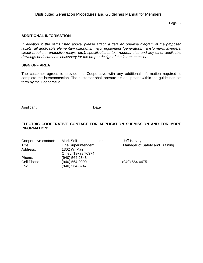#### **ADDITIONAL INFORMATION**

*In addition to the items listed above, please attach a detailed one-line diagram of the proposed*  facility, all applicable elementary diagrams, major equipment (generators, transformers, inverters, *circuit breakers, protective relays, etc.), specifications, test reports, etc., and any other applicable drawings or documents necessary for the proper design of the interconnection.*

#### **SIGN OFF AREA**

The customer agrees to provide the Cooperative with any additional information required to complete the interconnection. The customer shall operate his equipment within the guidelines set forth by the Cooperative.

Applicant Date

\_\_\_\_\_\_\_\_\_\_\_\_\_\_\_\_\_\_\_\_\_\_\_\_\_\_\_\_\_\_\_\_\_\_\_\_\_\_\_\_\_\_\_ \_\_\_\_\_\_\_\_\_\_\_\_\_\_\_\_\_\_\_\_\_\_\_\_\_

## **ELECTRIC COOPERATIVE CONTACT FOR APPLICATION SUBMISSION AND FOR MORE INFORMATION:**

| Cooperative contact: | Mark Self           | or | Jeff Harvey                    |
|----------------------|---------------------|----|--------------------------------|
| Title:               | Line Superintendent |    | Manager of Safety and Training |
| Address:             | 1302 W. Main        |    |                                |
|                      | Olney, Texas 76374  |    |                                |
| Phone:               | (940) 564-2343      |    |                                |
| Cell Phone:          | (940) 564-0090      |    | (940) 564-6475                 |
| Fax:                 | (940) 564-3247      |    |                                |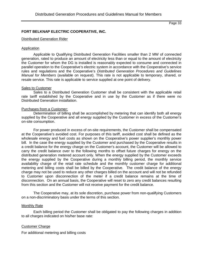## **FORT BELKNAP ELECTRIC COOPERATIVE, INC.**

#### Distributed Generation Rider

#### Application

Applicable to Qualifying Distributed Generation Facilities smaller than 2 MW of connected generation, rated to produce an amount of electricity less than or equal to the amount of electricity the Customer for whom the DG is installed is reasonably expected to consume and connected in parallel operation to the Cooperative's electric system in accordance with the Cooperative's service rules and regulations and the Cooperative's *Distributed Generation Procedures and Guidelines Manual for Members* (available on request). This rate is not applicable to temporary, shared, or resale service. This rate is applicable to service supplied at one point of delivery.

#### Sales to Customer

Sales to a Distributed Generation Customer shall be consistent with the applicable retail rate tariff established by the Cooperative and in use by the Customer as if there were no Distributed Generation installation.

## Purchases from a Customer:

Determination of billing shall be accomplished by metering that can identify both all energy supplied by the Cooperative and all energy supplied by the Customer in excess of the Customer's on-site consumption.

For power produced in excess of on-site requirements, the Customer shall be compensated at the Cooperative's avoided cost. For purposes of this tariff, avoided cost shall be defined as the wholesale energy and fuel costs as shown on the Cooperative's power supplier's monthly power bill. In the case the energy supplied by the Customer and purchased by the Cooperative results in a credit balance for the energy charge on the Customer's account, the Customer will be allowed to carry the credit balance over to the following months to offset future charges for energy on the distributed generation metered account only. When the energy supplied by the Customer exceeds the energy supplied by the Cooperative during a monthly billing period, the monthly service availability charge of the retail rate schedule and the monthly customer charge for additional metering and billing costs shall be billed by the Cooperative. The credit balance of the energy charge may not be used to reduce any other charges billed on the account and will not be refunded to Customer upon disconnection of the meter if a credit balance remains at the time of disconnection. On an annual basis, the Cooperative will reset to zero any credit balances resulting from this section and the Customer will not receive payment for the credit balance.

The Cooperative may, at its sole discretion, purchase power from non-qualifying Customers on a non-discriminatory basis under the terms of this section.

#### Monthly Rate

Each billing period the Customer shall be obligated to pay the following charges in addition to all charges indicated on his/her base rate:

#### Customer Charge

For additional metering and billing costs